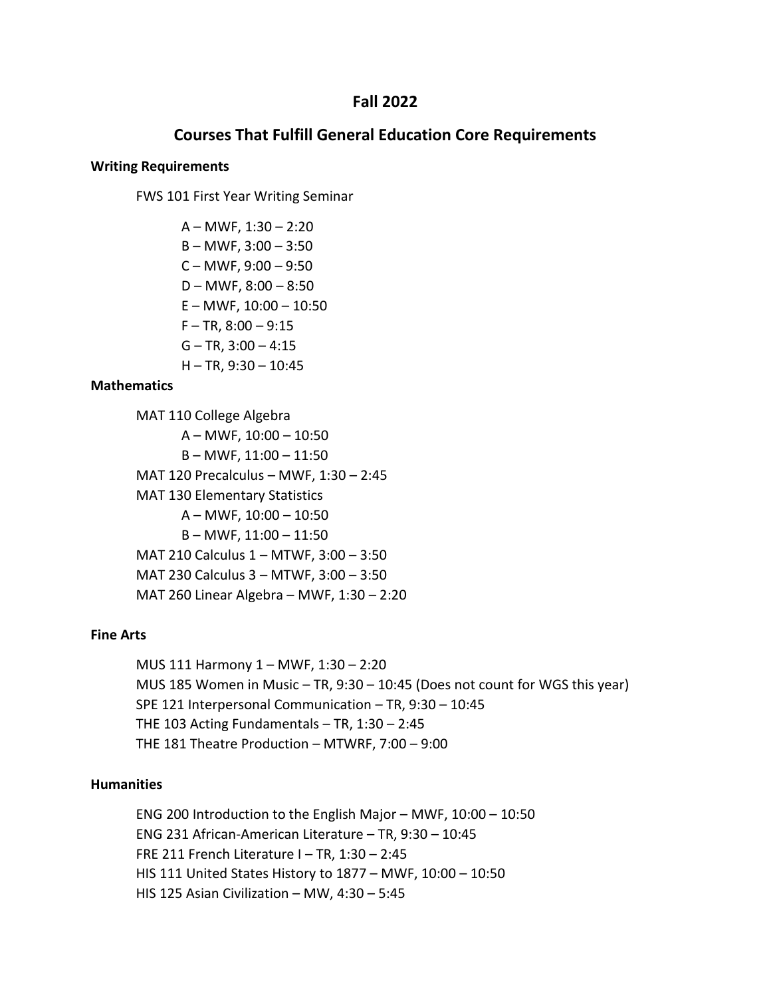# **Fall 2022**

# **Courses That Fulfill General Education Core Requirements**

### **Writing Requirements**

FWS 101 First Year Writing Seminar

 $A - MWF$ , 1:30 – 2:20 B – MWF, 3:00 – 3:50  $C - MWF$ , 9:00  $-9:50$  $D - MWF$ , 8:00 – 8:50  $E - MWF$ , 10:00  $- 10:50$  $F - TR$ ,  $8:00 - 9:15$  $G - TR$ , 3:00  $- 4:15$ H – TR, 9:30 – 10:45

## **Mathematics**

MAT 110 College Algebra A – MWF, 10:00 – 10:50 B – MWF, 11:00 – 11:50 MAT 120 Precalculus – MWF, 1:30 – 2:45 MAT 130 Elementary Statistics A – MWF, 10:00 – 10:50 B – MWF, 11:00 – 11:50 MAT 210 Calculus 1 – MTWF, 3:00 – 3:50 MAT 230 Calculus 3 – MTWF, 3:00 – 3:50 MAT 260 Linear Algebra – MWF, 1:30 – 2:20

## **Fine Arts**

MUS 111 Harmony 1 – MWF, 1:30 – 2:20 MUS 185 Women in Music – TR, 9:30 – 10:45 (Does not count for WGS this year) SPE 121 Interpersonal Communication – TR, 9:30 – 10:45 THE 103 Acting Fundamentals  $-$  TR, 1:30  $-$  2:45 THE 181 Theatre Production – MTWRF, 7:00 – 9:00

## **Humanities**

ENG 200 Introduction to the English Major – MWF, 10:00 – 10:50 ENG 231 African-American Literature – TR, 9:30 – 10:45 FRE 211 French Literature I – TR, 1:30 – 2:45 HIS 111 United States History to 1877 – MWF, 10:00 – 10:50 HIS 125 Asian Civilization – MW, 4:30 – 5:45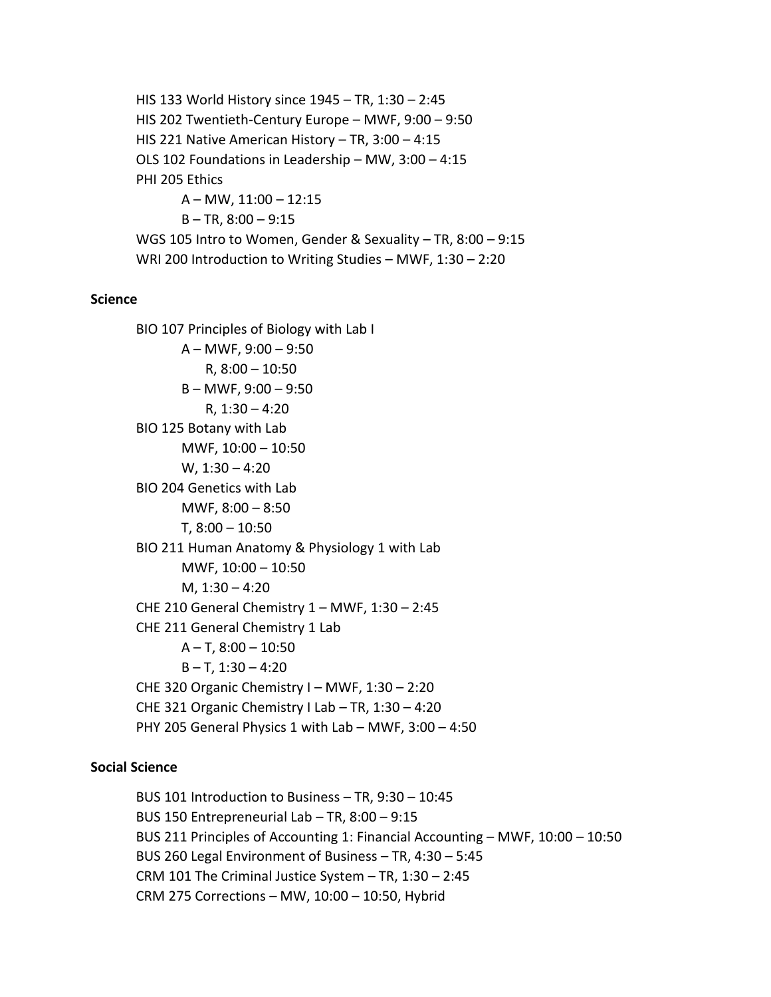HIS 133 World History since 1945 – TR, 1:30 – 2:45 HIS 202 Twentieth-Century Europe – MWF, 9:00 – 9:50 HIS 221 Native American History – TR, 3:00 – 4:15 OLS 102 Foundations in Leadership – MW, 3:00 – 4:15 PHI 205 Ethics A – MW, 11:00 – 12:15  $B - TR$ ,  $8:00 - 9:15$ WGS 105 Intro to Women, Gender & Sexuality – TR, 8:00 – 9:15 WRI 200 Introduction to Writing Studies – MWF, 1:30 – 2:20

#### **Science**

BIO 107 Principles of Biology with Lab I  $A - MWF$ , 9:00 – 9:50 R, 8:00 – 10:50 B – MWF, 9:00 – 9:50 R, 1:30 – 4:20 BIO 125 Botany with Lab MWF, 10:00 – 10:50 W, 1:30 – 4:20 BIO 204 Genetics with Lab MWF,  $8:00 - 8:50$ T, 8:00 – 10:50 BIO 211 Human Anatomy & Physiology 1 with Lab MWF, 10:00 – 10:50 M, 1:30 – 4:20 CHE 210 General Chemistry 1 – MWF, 1:30 – 2:45 CHE 211 General Chemistry 1 Lab A – T, 8:00 – 10:50  $B - T$ , 1:30 – 4:20 CHE 320 Organic Chemistry I – MWF, 1:30 – 2:20 CHE 321 Organic Chemistry I Lab – TR, 1:30 – 4:20 PHY 205 General Physics 1 with Lab – MWF, 3:00 – 4:50

# **Social Science**

BUS 101 Introduction to Business – TR, 9:30 – 10:45 BUS 150 Entrepreneurial Lab – TR, 8:00 – 9:15 BUS 211 Principles of Accounting 1: Financial Accounting – MWF, 10:00 – 10:50 BUS 260 Legal Environment of Business – TR, 4:30 – 5:45 CRM 101 The Criminal Justice System – TR, 1:30 – 2:45 CRM 275 Corrections – MW, 10:00 – 10:50, Hybrid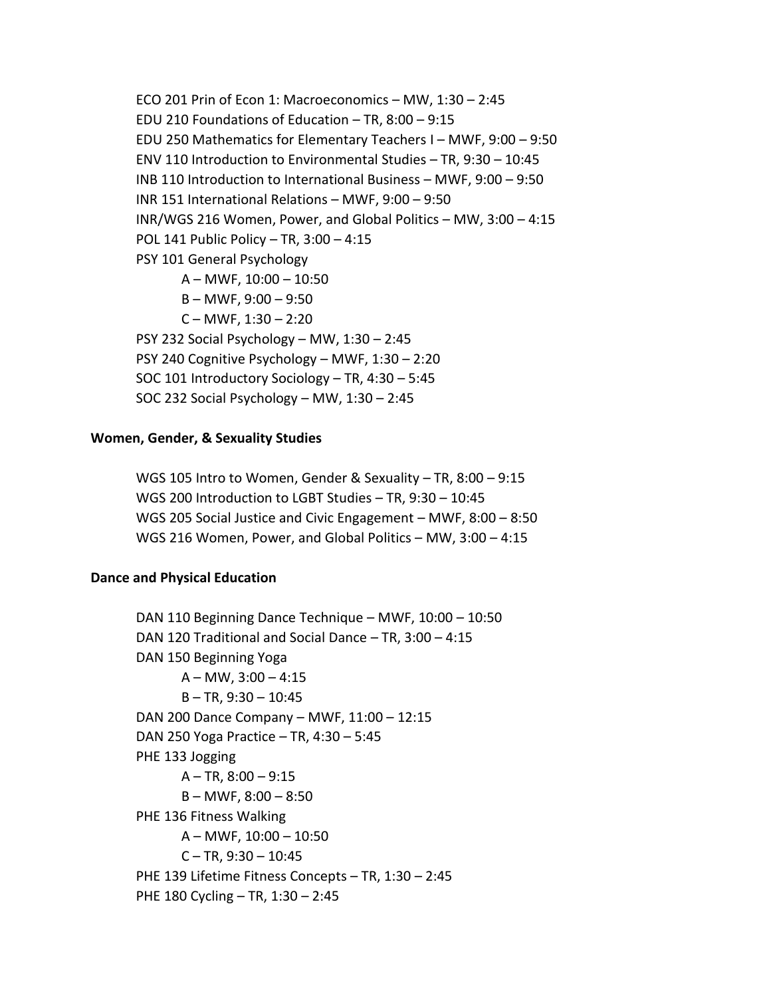ECO 201 Prin of Econ 1: Macroeconomics – MW, 1:30 – 2:45 EDU 210 Foundations of Education – TR, 8:00 – 9:15 EDU 250 Mathematics for Elementary Teachers I – MWF, 9:00 – 9:50 ENV 110 Introduction to Environmental Studies – TR, 9:30 – 10:45 INB 110 Introduction to International Business – MWF, 9:00 – 9:50 INR 151 International Relations – MWF, 9:00 – 9:50 INR/WGS 216 Women, Power, and Global Politics – MW, 3:00 – 4:15 POL 141 Public Policy – TR, 3:00 – 4:15 PSY 101 General Psychology A – MWF, 10:00 – 10:50 B – MWF, 9:00 – 9:50  $C - MWF$ , 1:30  $- 2:20$ PSY 232 Social Psychology – MW, 1:30 – 2:45 PSY 240 Cognitive Psychology – MWF, 1:30 – 2:20 SOC 101 Introductory Sociology – TR, 4:30 – 5:45 SOC 232 Social Psychology – MW, 1:30 – 2:45

## **Women, Gender, & Sexuality Studies**

WGS 105 Intro to Women, Gender & Sexuality – TR, 8:00 – 9:15 WGS 200 Introduction to LGBT Studies – TR, 9:30 – 10:45 WGS 205 Social Justice and Civic Engagement – MWF, 8:00 – 8:50 WGS 216 Women, Power, and Global Politics – MW, 3:00 – 4:15

### **Dance and Physical Education**

DAN 110 Beginning Dance Technique – MWF, 10:00 – 10:50 DAN 120 Traditional and Social Dance – TR, 3:00 – 4:15 DAN 150 Beginning Yoga  $A - MW$ , 3:00 – 4:15  $B - TR$ , 9:30  $- 10:45$ DAN 200 Dance Company – MWF, 11:00 – 12:15 DAN 250 Yoga Practice – TR, 4:30 – 5:45 PHE 133 Jogging  $A - TR$ ,  $8:00 - 9:15$ B – MWF, 8:00 – 8:50 PHE 136 Fitness Walking A – MWF, 10:00 – 10:50  $C - TR$ , 9:30  $- 10:45$ PHE 139 Lifetime Fitness Concepts – TR, 1:30 – 2:45 PHE 180 Cycling – TR, 1:30 – 2:45